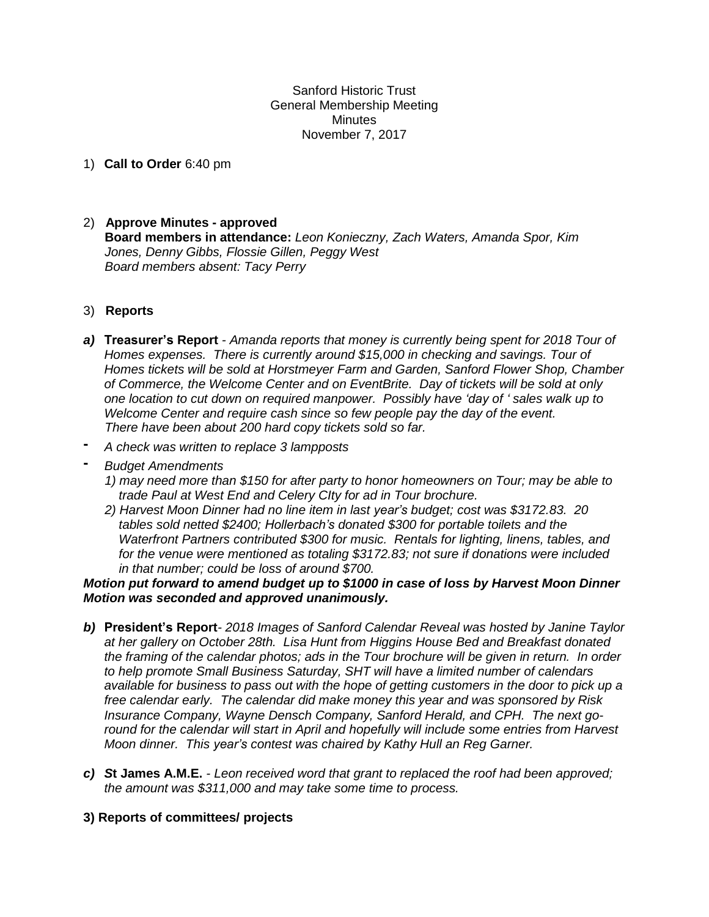Sanford Historic Trust General Membership Meeting **Minutes** November 7, 2017

1) **Call to Order** 6:40 pm

# 2) **Approve Minutes - approved Board members in attendance:** *Leon Konieczny, Zach Waters, Amanda Spor, Kim Jones, Denny Gibbs, Flossie Gillen, Peggy West Board members absent: Tacy Perry*

## 3) **Reports**

- *a)* **Treasurer's Report** *- Amanda reports that money is currently being spent for 2018 Tour of Homes expenses. There is currently around \$15,000 in checking and savings. Tour of Homes tickets will be sold at Horstmeyer Farm and Garden, Sanford Flower Shop, Chamber of Commerce, the Welcome Center and on EventBrite. Day of tickets will be sold at only one location to cut down on required manpower. Possibly have 'day of ' sales walk up to Welcome Center and require cash since so few people pay the day of the event. There have been about 200 hard copy tickets sold so far.*
- **-** *A check was written to replace 3 lampposts*
- **-** *Budget Amendments*
	- *1) may need more than \$150 for after party to honor homeowners on Tour; may be able to trade Paul at West End and Celery CIty for ad in Tour brochure.*
	- *2) Harvest Moon Dinner had no line item in last year's budget; cost was \$3172.83. 20 tables sold netted \$2400; Hollerbach's donated \$300 for portable toilets and the Waterfront Partners contributed \$300 for music. Rentals for lighting, linens, tables, and for the venue were mentioned as totaling \$3172.83; not sure if donations were included in that number; could be loss of around \$700.*

### *Motion put forward to amend budget up to \$1000 in case of loss by Harvest Moon Dinner Motion was seconded and approved unanimously.*

- *b)* **President's Report***- 2018 Images of Sanford Calendar Reveal was hosted by Janine Taylor at her gallery on October 28th. Lisa Hunt from Higgins House Bed and Breakfast donated the framing of the calendar photos; ads in the Tour brochure will be given in return. In order to help promote Small Business Saturday, SHT will have a limited number of calendars* available for business to pass out with the hope of getting customers in the door to pick up a *free calendar early. The calendar did make money this year and was sponsored by Risk Insurance Company, Wayne Densch Company, Sanford Herald, and CPH. The next goround for the calendar will start in April and hopefully will include some entries from Harvest Moon dinner. This year's contest was chaired by Kathy Hull an Reg Garner.*
- *c) S***t James A.M.E.** *- Leon received word that grant to replaced the roof had been approved; the amount was \$311,000 and may take some time to process.*

## **3) Reports of committees/ projects**